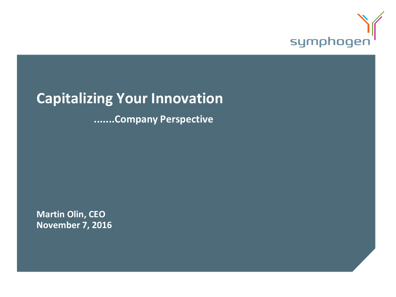

# **Capitalizing Your Innovation**

**.......Company Perspective**

**Martin Olin, CEO November 7, 2016**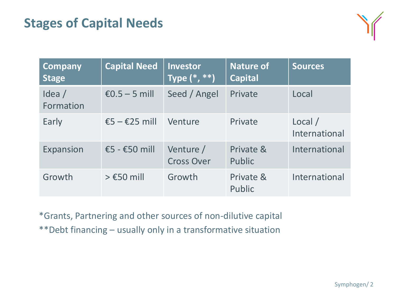# **Stages of Capital Needs**



| <b>Company</b><br><b>Stage</b> | <b>Capital Need</b>               | <b>Investor</b><br>$\overline{\mathsf{Type}\,}(\textcolor{red}{^*},\textcolor{red}{^*}\textcolor{red}{^*})$ | <b>Nature of</b><br><b>Capital</b> | <b>Sources</b>           |
|--------------------------------|-----------------------------------|-------------------------------------------------------------------------------------------------------------|------------------------------------|--------------------------|
| Idea $/$<br>Formation          | $£0.5 - 5$ mill                   | Seed / Angel                                                                                                | Private                            | Local                    |
| Early                          | $\epsilon$ 5 – $\epsilon$ 25 mill | Venture                                                                                                     | Private                            | Local /<br>International |
| Expansion                      | €5 - €50 mill                     | Venture /<br><b>Cross Over</b>                                                                              | Private &<br>Public                | International            |
| Growth                         | $>$ £50 mill                      | Growth                                                                                                      | Private &<br>Public                | International            |

\*Grants, Partnering and other sources of non-dilutive capital \*\*Debt financing – usually only in a transformative situation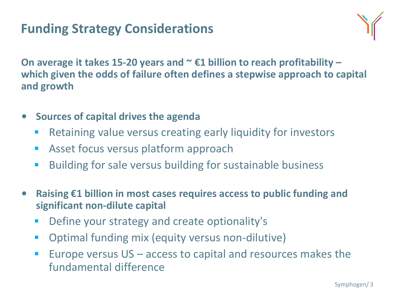# **Funding Strategy Considerations**



**On average it takes 15-20 years and ~ €1 billion to reach profitability – which given the odds of failure often defines a stepwise approach to capital and growth**

- **Sources of capital drives the agenda**
	- **Retaining value versus creating early liquidity for investors**
	- **Asset focus versus platform approach**
	- **Building for sale versus building for sustainable business**
- **Raising €1 billion in most cases requires access to public funding and significant non-dilute capital**
	- **Define your strategy and create optionality's**
	- **•** Optimal funding mix (equity versus non-dilutive)
	- **Europe versus**  $US -$  **access to capital and resources makes the** fundamental difference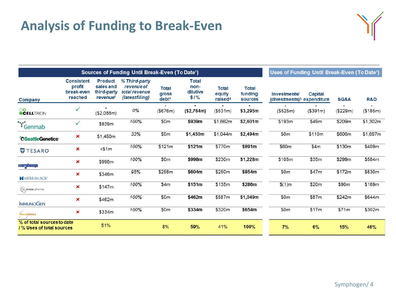# **Analysis of Funding to Break-Even**



| <b>Sources of Funding Until Break-Even (To Date<sup>1</sup>)</b> |                                                      |                                                                    |                                                                       |                                            |                                          | Uses of Funding Until Break-Even (To Date <sup>1</sup> ) |                                    |                                                        |           |          |          |
|------------------------------------------------------------------|------------------------------------------------------|--------------------------------------------------------------------|-----------------------------------------------------------------------|--------------------------------------------|------------------------------------------|----------------------------------------------------------|------------------------------------|--------------------------------------------------------|-----------|----------|----------|
| <b>Company</b>                                                   | <b>Consistent</b><br>profit<br>break-even<br>reached | <b>Product</b><br>sales and<br>third-party<br>revenue <sup>2</sup> | % Third-party<br><i>revenue of</i><br>total revenue<br>(latestfiling) | <b>Total</b><br>gross<br>debt <sup>3</sup> | <b>Total</b><br>non-<br>dilutive<br>\$1% | <b>Total</b><br>equity<br>raised <sup>4</sup>            | <b>Total</b><br>funding<br>sources | Investments/<br>(divestments) <sup>5</sup> expenditure | Capital   | SG&A     | R&D      |
| <b>OO</b><br>OCELLTRION                                          | ✓                                                    | (\$2,088m)                                                         | 0%                                                                    | (\$676m)                                   | (\$2,764m)                               | ( \$531m)                                                | \$3,295m                           | (\$525m)                                               | ( \$391m) | (\$229m) | (\$185m) |
| Genmab                                                           | ✓                                                    | \$939m                                                             | 100%                                                                  | \$0m                                       | \$939m                                   | \$1,662m                                                 | \$2,601m                           | \$193m                                                 | \$49m     | \$209m   | \$1,302m |
| <b>OSeattleGenetics</b>                                          | ×                                                    | \$1,450m                                                           | 33%                                                                   | \$0m                                       | \$1,450m                                 | \$1,044m                                                 | \$2,494m                           | \$0m                                                   | \$110m    | \$606m   | \$1,697m |
| <b>TESARO</b>                                                    | ×                                                    | $<$ \$1m                                                           | 100%                                                                  | \$121m                                     | \$121m                                   | \$770m                                                   | \$891m                             | \$60m                                                  | \$4m      | \$130m   | \$409m   |
| <b>morphosus</b>                                                 | ×                                                    | \$998m                                                             | 100%                                                                  | \$0m                                       | \$998m                                   | \$230m                                                   | \$1,228m                           | \$105m                                                 | \$35m     | \$299m   | \$584m   |
| MERRIMACK'                                                       | ×                                                    | \$346m                                                             | 95%                                                                   | \$258m                                     | \$604m                                   | \$250m                                                   | \$854m                             | \$0m                                                   | \$47m     | \$172m   | \$830m   |
| sinnate pharma                                                   | ×                                                    | \$147m                                                             | 100%                                                                  | \$4m                                       | \$151m                                   | \$135m                                                   | \$286m                             | \$(1)m                                                 | \$20m     | \$90m    | \$169m   |
| <b>IMMUNOGEN</b>                                                 | ×                                                    | \$462m                                                             | 100%                                                                  | \$0m                                       | \$462m                                   | \$587m                                                   | \$1,049m                           | \$0 <sub>m</sub>                                       | \$87m     | \$242m   | \$644m   |
| <b>MACROGENICS</b>                                               | ×                                                    | \$334m                                                             | 100%                                                                  | \$0m                                       | \$334m                                   | \$320m                                                   | \$654m                             | \$0m                                                   | \$17m     | \$71m    | \$302m   |
| % of total sources to date<br>/% Uses of total sources           |                                                      | 51%                                                                |                                                                       | 8%                                         | 59%                                      | 41%                                                      | 100%                               | 7%                                                     | 6%        | 15%      | 46%      |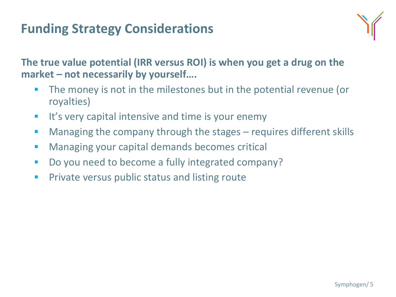# **Funding Strategy Considerations**



**The true value potential (IRR versus ROI) is when you get a drug on the market – not necessarily by yourself….**

- **The money is not in the milestones but in the potential revenue (or** royalties)
- $\blacksquare$  It's very capital intensive and time is your enemy
- Managing the company through the stages requires different skills
- **Managing your capital demands becomes critical**
- Do you need to become a fully integrated company?
- **Private versus public status and listing route**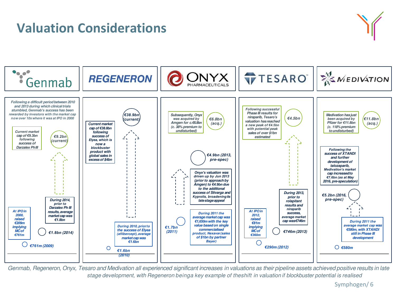### **Valuation Considerations**





Genmab, Regeneron, Onyx, Tesaro and Medivation all experienced significant increases in valuations as their pipeline assets achieved positive results in late stage development, with Regeneron beinga key example of theshift in valuation if blockbuster potential is realised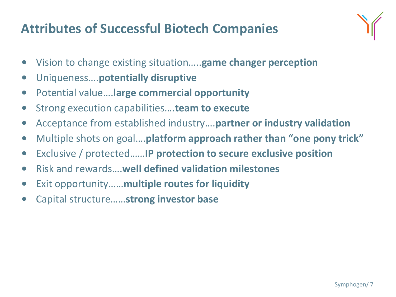# **Attributes of Successful Biotech Companies**



- Vision to change existing situation…..**game changer perception**
- Uniqueness….**potentially disruptive**
- Potential value….**large commercial opportunity**
- Strong execution capabilities….**team to execute**
- Acceptance from established industry….**partner or industry validation**
- Multiple shots on goal….**platform approach rather than "one pony trick"**
- Exclusive / protected……**IP protection to secure exclusive position**
- Risk and rewards….**well defined validation milestones**
- Exit opportunity……**multiple routes for liquidity**
- Capital structure……**strong investor base**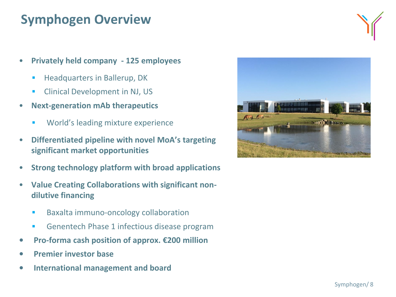# **Symphogen Overview**

- **Privately held company 125 employees**
	- Headquarters in Ballerup, DK
	- **EXECUTE:** Clinical Development in NJ, US
- **Next-generation mAb therapeutics**
	- **World's leading mixture experience**
- **Differentiated pipeline with novel MoA's targeting significant market opportunities**
- **Strong technology platform with broad applications**
- **Value Creating Collaborations with significant nondilutive financing**
	- **Baxalta immuno-oncology collaboration**
	- **Genentech Phase 1 infectious disease program**
- **Pro-forma cash position of approx. €200 million**
- **Premier investor base**
- **International management and board**



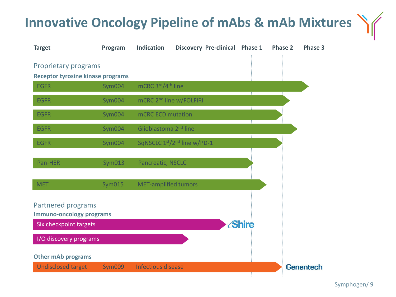# **Innovative Oncology Pipeline of mAbs & mAb Mixtures**



÷

÷

4

Symphogen/ 9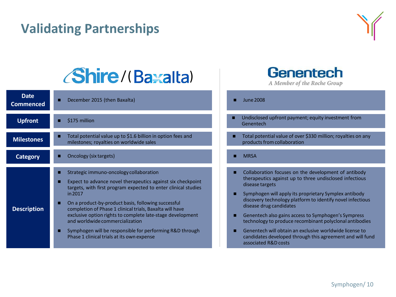# **Validating Partnerships 3**



# *(Shire/(Baxalta)*

| Date<br><b>Commenced</b> | December 2015 (then Baxalta)<br>п                                                                                                                                                                                                                                                                                                                                                                                                                                                                                      |
|--------------------------|------------------------------------------------------------------------------------------------------------------------------------------------------------------------------------------------------------------------------------------------------------------------------------------------------------------------------------------------------------------------------------------------------------------------------------------------------------------------------------------------------------------------|
| <b>Upfront</b>           | \$175 million<br>п                                                                                                                                                                                                                                                                                                                                                                                                                                                                                                     |
| <b>Milestones</b>        | Total potential value up to \$1.6 billion in option fees and<br>milestones; royalties on worldwide sales                                                                                                                                                                                                                                                                                                                                                                                                               |
| <b>Category</b>          | Oncology (six targets)                                                                                                                                                                                                                                                                                                                                                                                                                                                                                                 |
| <b>Description</b>       | Strategic immuno-oncology collaboration<br>Expect to advance novel therapeutics against six checkpoint<br>targets, with first program expected to enter clinical studies<br>in 2017<br>On a product-by-product basis, following successful<br>ш<br>completion of Phase 1 clinical trials, Baxalta will have<br>exclusive option rights to complete late-stage development<br>and worldwide commercialization<br>Symphogen will be responsible for performing R&D through<br>Phase 1 clinical trials at its own expense |

# **Genentech**

A Member of the Roche Group

 $\blacksquare$  June 2008

- Undisclosed upfront payment; equity investment from Genentech
- Total potential value of over \$330 million; royalties on any products from collaboration
- **MRSA**
- Collaboration focuses on the development of antibody therapeutics against up to three undisclosed infectious disease targets
- $\blacksquare$  Symphogen will apply its proprietary Symplex antibody discovery technology platform to identify novel infectious disease drug candidates
- Genentech also gains access to Symphogen's Sympress technology to produce recombinant polyclonal antibodies
- Genentech will obtain an exclusive worldwide license to candidates developed through this agreement and will fund associated R&D costs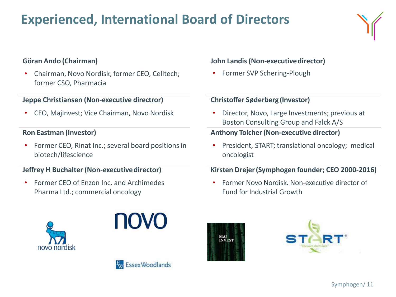# **Experienced, International Board of Directors**

### **Göran Ando (Chairman)**

• Chairman, Novo Nordisk; former CEO, Celltech; former CSO, Pharmacia

#### **Jeppe Christiansen (Non-executive directror)**

• CEO, MajInvest; Vice Chairman, Novo Nordisk

#### **Ron Eastman (Investor)**

• Former CEO, Rinat Inc.; several board positions in biotech/lifescience

#### **Jeffrey H Buchalter (Non-executivedirector)**

• Former CEO of Enzon Inc. and Archimedes Pharma Ltd.; commercial oncology







#### **John Landis (Non-executivedirector)**

• Former SVP Schering-Plough

#### **Christoffer Søderberg (Investor)**

• Director, Novo, Large Investments; previous at Boston Consulting Group and Falck A/S

#### **Anthony Tolcher(Non-executive director)**

• President, START; translational oncology; medical oncologist

#### **Kirsten Drejer(Symphogen founder; CEO 2000-2016)**

• Former Novo Nordisk. Non-executive director of Fund for Industrial Growth



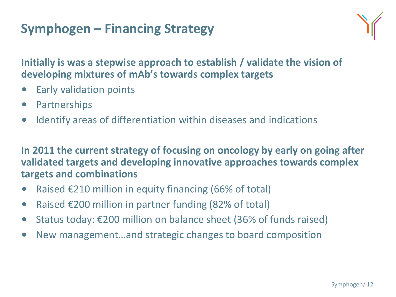# **Symphogen – Financing Strategy**



**Initially is was a stepwise approach to establish / validate the vision of developing mixtures of mAb's towards complex targets**

- Early validation points
- Partnerships
- Identify areas of differentiation within diseases and indications

**In 2011 the current strategy of focusing on oncology by early on going after validated targets and developing innovative approaches towards complex targets and combinations**

- Raised  $\epsilon$ 210 million in equity financing (66% of total)
- Raised €200 million in partner funding (82% of total)
- Status today: €200 million on balance sheet (36% of funds raised)
- New management…and strategic changes to board composition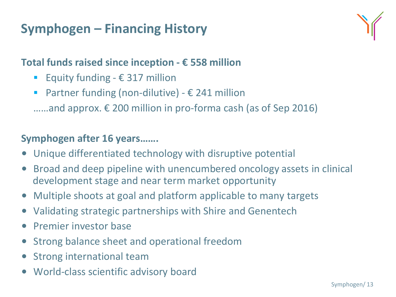# **Symphogen – Financing History**



### **Total funds raised since inception - € 558 million**

- Equity funding  $\epsilon$  317 million
- Partner funding (non-dilutive)  $\epsilon$  241 million
- ……and approx.  $€ 200$  million in pro-forma cash (as of Sep 2016)

### **Symphogen after 16 years…….**

- Unique differentiated technology with disruptive potential
- Broad and deep pipeline with unencumbered oncology assets in clinical development stage and near term market opportunity
- Multiple shoots at goal and platform applicable to many targets
- Validating strategic partnerships with Shire and Genentech
- Premier investor base
- Strong balance sheet and operational freedom
- Strong international team
- World-class scientific advisory board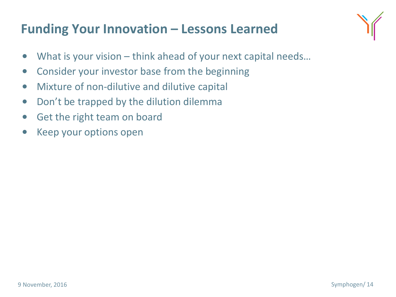# **Funding Your Innovation – Lessons Learned**



- What is your vision think ahead of your next capital needs…
- Consider your investor base from the beginning
- Mixture of non-dilutive and dilutive capital
- Don't be trapped by the dilution dilemma
- Get the right team on board
- Keep your options open